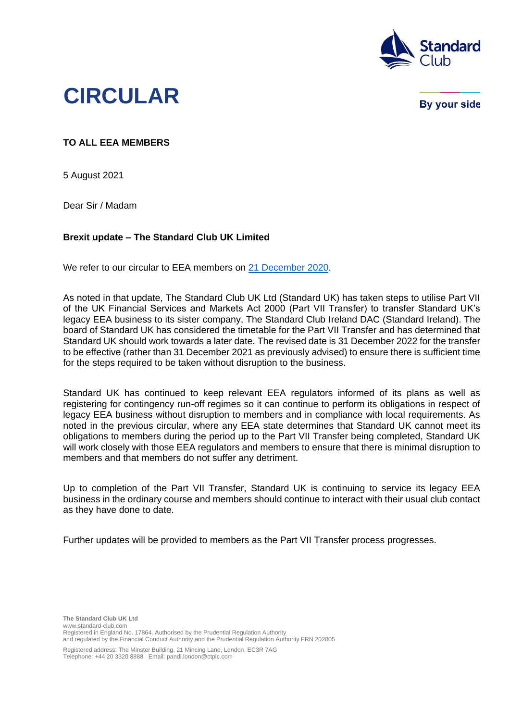

## **CIRCULAR**

**By your side** 

## **TO ALL EEA MEMBERS**

5 August 2021

Dear Sir / Madam

## **Brexit update – The Standard Club UK Limited**

We refer to our circular to EEA members on [21 December 2020.](https://www.standard-club.com/fileadmin/uploads/standardclub/Documents/Import/publications/circulars/2020-standard-club-circulars/3376600-21-december-2020-standard-uk-circular-brexit-update.pdf)

As noted in that update, The Standard Club UK Ltd (Standard UK) has taken steps to utilise Part VII of the UK Financial Services and Markets Act 2000 (Part VII Transfer) to transfer Standard UK's legacy EEA business to its sister company, The Standard Club Ireland DAC (Standard Ireland). The board of Standard UK has considered the timetable for the Part VII Transfer and has determined that Standard UK should work towards a later date. The revised date is 31 December 2022 for the transfer to be effective (rather than 31 December 2021 as previously advised) to ensure there is sufficient time for the steps required to be taken without disruption to the business.

Standard UK has continued to keep relevant EEA regulators informed of its plans as well as registering for contingency run-off regimes so it can continue to perform its obligations in respect of legacy EEA business without disruption to members and in compliance with local requirements. As noted in the previous circular, where any EEA state determines that Standard UK cannot meet its obligations to members during the period up to the Part VII Transfer being completed, Standard UK will work closely with those EEA regulators and members to ensure that there is minimal disruption to members and that members do not suffer any detriment.

Up to completion of the Part VII Transfer, Standard UK is continuing to service its legacy EEA business in the ordinary course and members should continue to interact with their usual club contact as they have done to date.

Further updates will be provided to members as the Part VII Transfer process progresses.